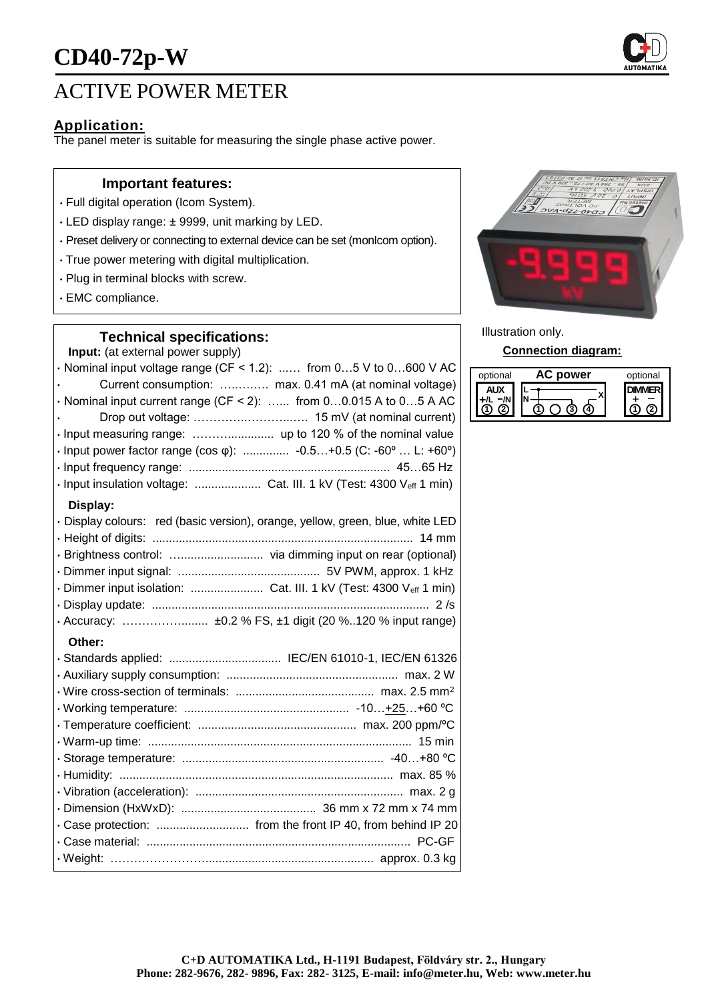

## ACTIVE POWER METER

## **Application:**

The panel meter is suitable for measuring the single phase active power.

#### **Important features:**

- Full digital operation (Icom System).
- LED display range: ± 9999, unit marking by LED.
- Preset delivery or connecting to external device can be set (monIcom option).
- True power metering with digital multiplication.
- Plug in terminal blocks with screw.
- EMC compliance.

### **Technical specifications:**

**Input:** (at external power supply)

| <b>ut:</b> (at ontoffia) power cappivi                                         |
|--------------------------------------------------------------------------------|
| $\cdot$ Nominal input voltage range (CF < 1.2):  from 05 V to 0600 V AC        |
| Current consumption:  max. 0.41 mA (at nominal voltage)                        |
| $\cdot$ Nominal input current range (CF < 2):  from 00.015 A to 05 A AC        |
|                                                                                |
|                                                                                |
| · Input power factor range (cos φ):  -0.5+0.5 (C: -60°  L: +60°)               |
|                                                                                |
| · Input insulation voltage:  Cat. III. 1 kV (Test: 4300 Veff 1 min)            |
| Display:                                                                       |
| · Display colours: red (basic version), orange, yellow, green, blue, white LED |
|                                                                                |
| · Brightness control:  via dimming input on rear (optional)                    |
|                                                                                |
|                                                                                |
|                                                                                |
| · Accuracy:  ±0.2 % FS, ±1 digit (20 %120 % input range)                       |
| Other:                                                                         |
| · Standards applied:  IEC/EN 61010-1, IEC/EN 61326                             |
|                                                                                |
|                                                                                |
|                                                                                |
|                                                                                |
|                                                                                |

• Storage temperature: ............................................................. -40…+80 ºC • Humidity: ................................................................................... max. 85 % • Vibration (acceleration): ............................................................... max. 2 g • Dimension (HxWxD): ......................................... 36 mm x 72 mm x 74 mm • Case protection: ............................ from the front IP 40, from behind IP 20 • Case material: ................................................................................ PC-GF • Weight: ……………………................................................... approx. 0.3 kg



Illustration only.

#### **Connection diagram:**

| optional | power | optional |
|----------|-------|----------|
|          |       |          |